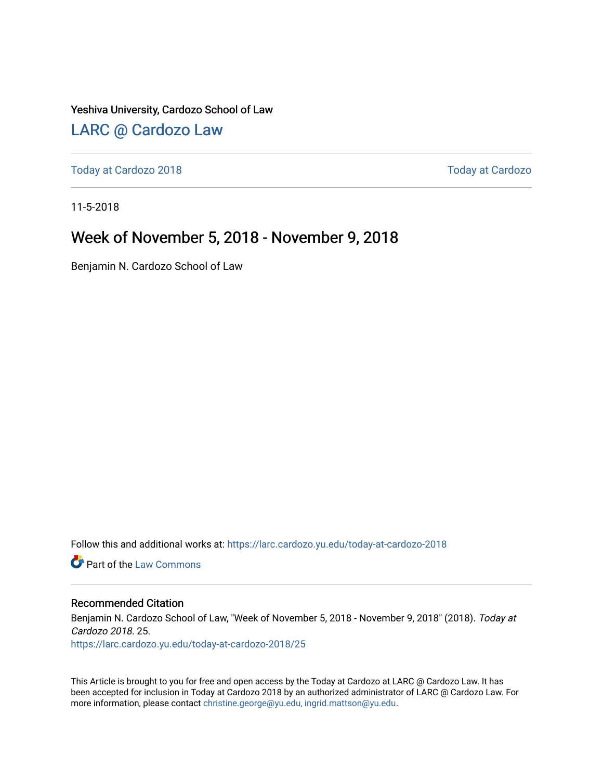Yeshiva University, Cardozo School of Law

### [LARC @ Cardozo Law](https://larc.cardozo.yu.edu/)

[Today at Cardozo 2018](https://larc.cardozo.yu.edu/today-at-cardozo-2018) [Today at Cardozo](https://larc.cardozo.yu.edu/today-at-cardozo) 

11-5-2018

### Week of November 5, 2018 - November 9, 2018

Benjamin N. Cardozo School of Law

Follow this and additional works at: [https://larc.cardozo.yu.edu/today-at-cardozo-2018](https://larc.cardozo.yu.edu/today-at-cardozo-2018?utm_source=larc.cardozo.yu.edu%2Ftoday-at-cardozo-2018%2F25&utm_medium=PDF&utm_campaign=PDFCoverPages)

**C** Part of the [Law Commons](http://network.bepress.com/hgg/discipline/578?utm_source=larc.cardozo.yu.edu%2Ftoday-at-cardozo-2018%2F25&utm_medium=PDF&utm_campaign=PDFCoverPages)

#### Recommended Citation

Benjamin N. Cardozo School of Law, "Week of November 5, 2018 - November 9, 2018" (2018). Today at Cardozo 2018. 25.

[https://larc.cardozo.yu.edu/today-at-cardozo-2018/25](https://larc.cardozo.yu.edu/today-at-cardozo-2018/25?utm_source=larc.cardozo.yu.edu%2Ftoday-at-cardozo-2018%2F25&utm_medium=PDF&utm_campaign=PDFCoverPages) 

This Article is brought to you for free and open access by the Today at Cardozo at LARC @ Cardozo Law. It has been accepted for inclusion in Today at Cardozo 2018 by an authorized administrator of LARC @ Cardozo Law. For more information, please contact [christine.george@yu.edu, ingrid.mattson@yu.edu](mailto:christine.george@yu.edu,%20ingrid.mattson@yu.edu).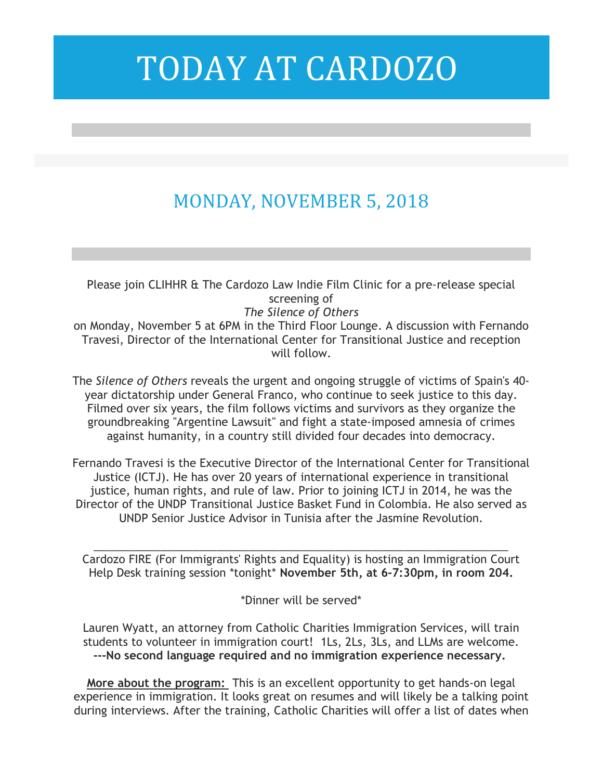## MONDAY, NOVEMBER 5, 2018

Please join CLIHHR & The Cardozo Law Indie Film Clinic for a pre-release special screening of *The Silence of Others* on Monday, November 5 at 6PM in the Third Floor Lounge. A discussion with Fernando Travesi, Director of the International Center for Transitional Justice and reception will follow.

The *Silence of Others* reveals the urgent and ongoing struggle of victims of Spain's 40 year dictatorship under General Franco, who continue to seek justice to this day. Filmed over six years, the film follows victims and survivors as they organize the groundbreaking "Argentine Lawsuit" and fight a state-imposed amnesia of crimes against humanity, in a country still divided four decades into democracy.

Fernando Travesi is the Executive Director of the International Center for Transitional Justice (ICTJ). He has over 20 years of international experience in transitional justice, human rights, and rule of law. Prior to joining ICTJ in 2014, he was the Director of the UNDP Transitional Justice Basket Fund in Colombia. He also served as UNDP Senior Justice Advisor in Tunisia after the Jasmine Revolution.

Cardozo FIRE (For Immigrants' Rights and Equality) is hosting an Immigration Court Help Desk training session \*tonight\* **November 5th, at 6-7:30pm, in room 204.**

\_\_\_\_\_\_\_\_\_\_\_\_\_\_\_\_\_\_\_\_\_\_\_\_\_\_\_\_\_\_\_\_\_\_\_\_\_\_\_\_\_\_\_\_\_\_\_\_\_\_\_\_\_\_\_\_\_\_\_\_\_\_\_\_\_\_\_

\*Dinner will be served\*

Lauren Wyatt, an attorney from Catholic Charities Immigration Services, will train students to volunteer in immigration court! 1Ls, 2Ls, 3Ls, and LLMs are welcome. **---No second language required and no immigration experience necessary.**

**More about the program:** This is an excellent opportunity to get hands-on legal experience in immigration. It looks great on resumes and will likely be a talking point during interviews. After the training, Catholic Charities will offer a list of dates when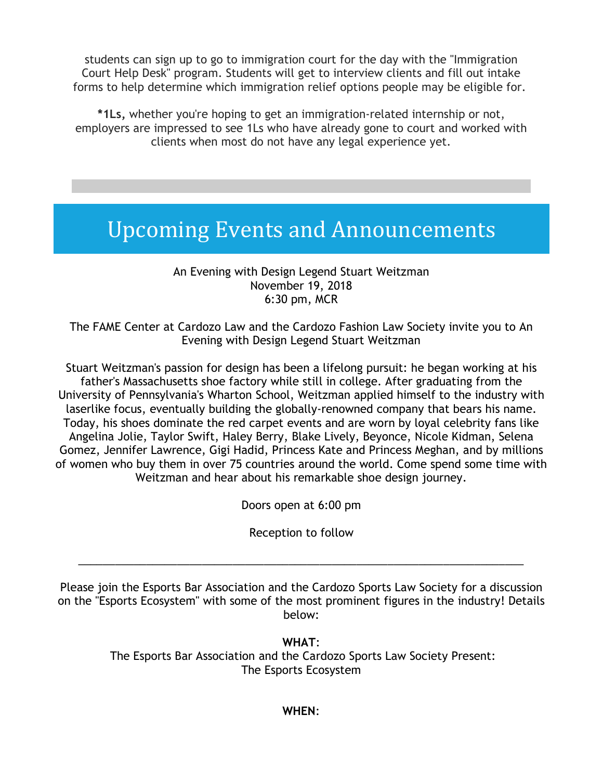students can sign up to go to immigration court for the day with the "Immigration Court Help Desk" program. Students will get to interview clients and fill out intake forms to help determine which immigration relief options people may be eligible for.

**\*1Ls,** whether you're hoping to get an immigration-related internship or not, employers are impressed to see 1Ls who have already gone to court and worked with clients when most do not have any legal experience yet.

### Upcoming Events and Announcements

An Evening with Design Legend Stuart Weitzman November 19, 2018 6:30 pm, MCR

The FAME Center at Cardozo Law and the Cardozo Fashion Law Society invite you to An Evening with Design Legend Stuart Weitzman

Stuart Weitzman's passion for design has been a lifelong pursuit: he began working at his father's Massachusetts shoe factory while still in college. After graduating from the University of Pennsylvania's Wharton School, Weitzman applied himself to the industry with laserlike focus, eventually building the globally-renowned company that bears his name. Today, his shoes dominate the red carpet events and are worn by loyal celebrity fans like Angelina Jolie, Taylor Swift, Haley Berry, Blake Lively, Beyonce, Nicole Kidman, Selena Gomez, Jennifer Lawrence, Gigi Hadid, Princess Kate and Princess Meghan, and by millions of women who buy them in over 75 countries around the world. Come spend some time with Weitzman and hear about his remarkable shoe design journey.

Doors open at 6:00 pm

Reception to follow

\_\_\_\_\_\_\_\_\_\_\_\_\_\_\_\_\_\_\_\_\_\_\_\_\_\_\_\_\_\_\_\_\_\_\_\_\_\_\_\_\_\_\_\_\_\_\_\_\_\_\_\_\_\_\_\_\_\_\_\_\_\_\_\_\_\_\_\_\_\_\_\_

Please join the Esports Bar Association and the Cardozo Sports Law Society for a discussion on the "Esports Ecosystem" with some of the most prominent figures in the industry! Details below:

**WHAT**:

The Esports Bar Association and the Cardozo Sports Law Society Present: The Esports Ecosystem

#### **WHEN**: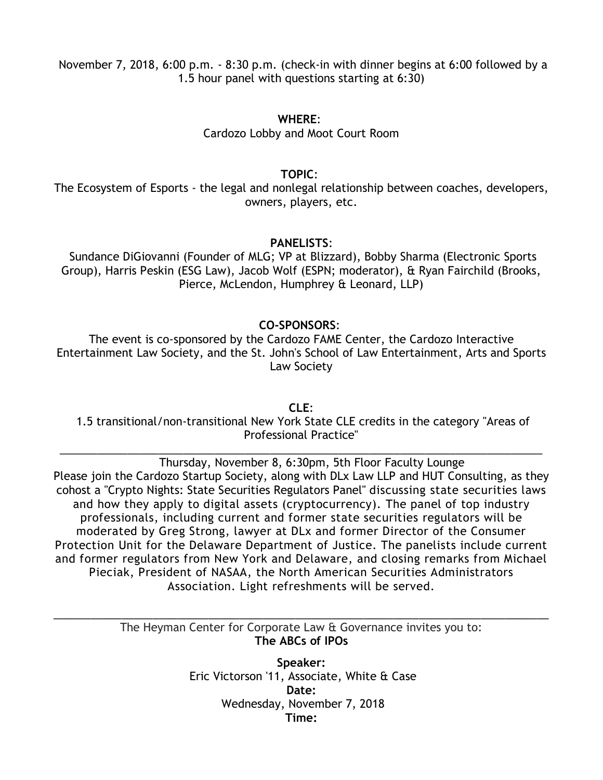November 7, 2018, 6:00 p.m. - 8:30 p.m. (check-in with dinner begins at 6:00 followed by a 1.5 hour panel with questions starting at 6:30)

#### **WHERE**:

Cardozo Lobby and Moot Court Room

**TOPIC**:

The Ecosystem of Esports - the legal and nonlegal relationship between coaches, developers, owners, players, etc.

#### **PANELISTS**:

Sundance DiGiovanni (Founder of MLG; VP at Blizzard), Bobby Sharma (Electronic Sports Group), Harris Peskin (ESG Law), Jacob Wolf (ESPN; moderator), & Ryan Fairchild (Brooks, Pierce, McLendon, Humphrey & Leonard, LLP)

#### **CO-SPONSORS**:

The event is co-sponsored by the Cardozo FAME Center, the Cardozo Interactive Entertainment Law Society, and the St. John's School of Law Entertainment, Arts and Sports Law Society

**CLE**: 1.5 transitional/non-transitional New York State CLE credits in the category "Areas of Professional Practice"

\_\_\_\_\_\_\_\_\_\_\_\_\_\_\_\_\_\_\_\_\_\_\_\_\_\_\_\_\_\_\_\_\_\_\_\_\_\_\_\_\_\_\_\_\_\_\_\_\_\_\_\_\_\_\_\_\_\_\_\_\_\_\_\_\_\_\_\_\_\_\_\_\_\_\_\_\_\_

 Thursday, November 8, 6:30pm, 5th Floor Faculty Lounge Please join the Cardozo Startup Society, along with DLx Law LLP and HUT Consulting, as they cohost a "Crypto Nights: State Securities Regulators Panel" discussing state securities laws and how they apply to digital assets (cryptocurrency). The panel of top industry professionals, including current and former state securities regulators will be moderated by Greg Strong, lawyer at DLx and former Director of the Consumer Protection Unit for the Delaware Department of Justice. The panelists include current and former regulators from New York and Delaware, and closing remarks from Michael Pieciak, President of NASAA, the North American Securities Administrators Association. Light refreshments will be served.

> The Heyman Center for Corporate Law & Governance invites you to: **The ABCs of IPOs**

\_\_\_\_\_\_\_\_\_\_\_\_\_\_\_\_\_\_\_\_\_\_\_\_\_\_\_\_\_\_\_\_\_\_\_\_\_\_\_\_\_\_\_\_\_\_\_\_\_\_\_\_\_\_\_\_\_\_\_\_\_\_\_\_\_\_\_\_\_\_\_\_\_\_\_\_\_\_\_\_

**Speaker:** Eric Victorson '11, Associate, White & Case **Date:** Wednesday, November 7, 2018 **Time:**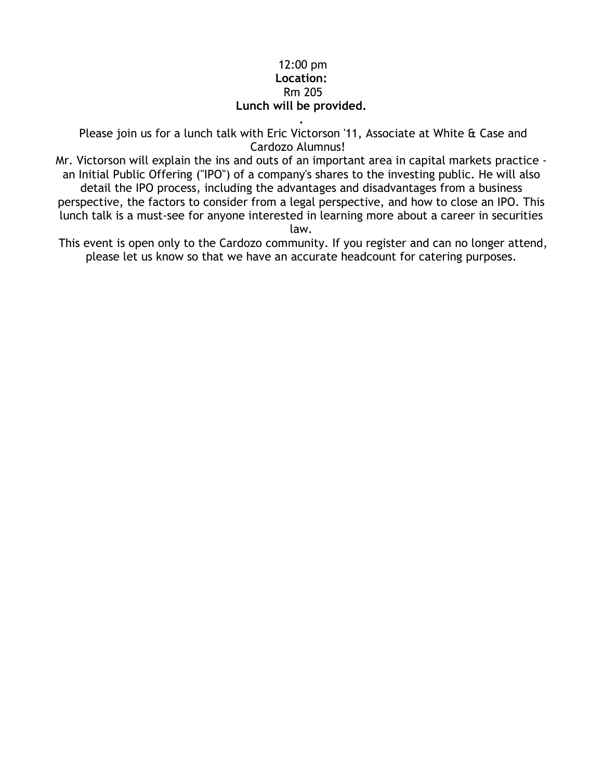#### 12:00 pm **Location:** Rm 205 **Lunch will be provided.**

**.**

Please join us for a lunch talk with Eric Victorson '11, Associate at White & Case and Cardozo Alumnus!

Mr. Victorson will explain the ins and outs of an important area in capital markets practice an Initial Public Offering ("IPO") of a company's shares to the investing public. He will also detail the IPO process, including the advantages and disadvantages from a business perspective, the factors to consider from a legal perspective, and how to close an IPO. This lunch talk is a must-see for anyone interested in learning more about a career in securities

law.

This event is open only to the Cardozo community. If you register and can no longer attend, please let us know so that we have an accurate headcount for catering purposes.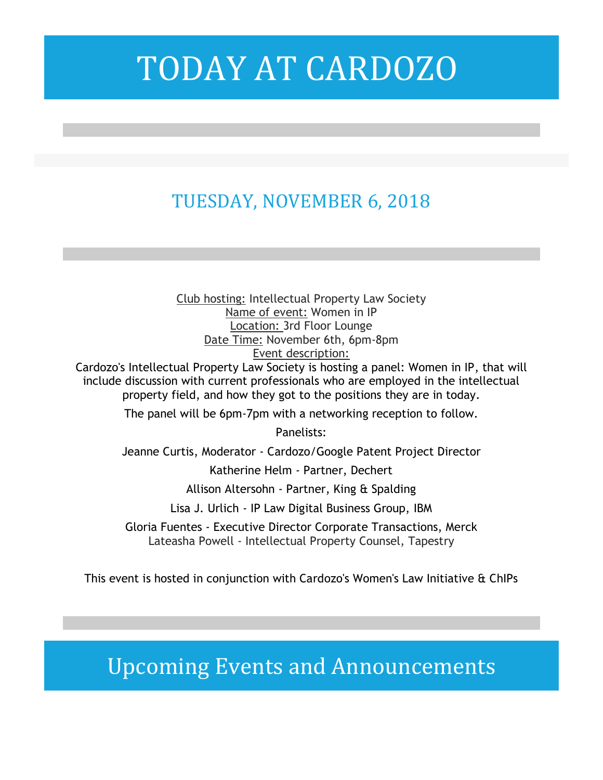## TUESDAY, NOVEMBER 6, 2018

Club hosting: Intellectual Property Law Society Name of event: Women in IP Location: 3rd Floor Lounge Date Time: November 6th, 6pm-8pm Event description:

Cardozo's Intellectual Property Law Society is hosting a panel: Women in IP, that will include discussion with current professionals who are employed in the intellectual property field, and how they got to the positions they are in today.

The panel will be 6pm-7pm with a networking reception to follow.

Panelists:

Jeanne Curtis, Moderator - Cardozo/Google Patent Project Director

Katherine Helm - Partner, Dechert

Allison Altersohn - Partner, King & Spalding

Lisa J. Urlich - IP Law Digital Business Group, IBM

Gloria Fuentes - Executive Director Corporate Transactions, Merck Lateasha Powell - Intellectual Property Counsel, Tapestry

This event is hosted in conjunction with Cardozo's Women's Law Initiative & ChIPs

Upcoming Events and Announcements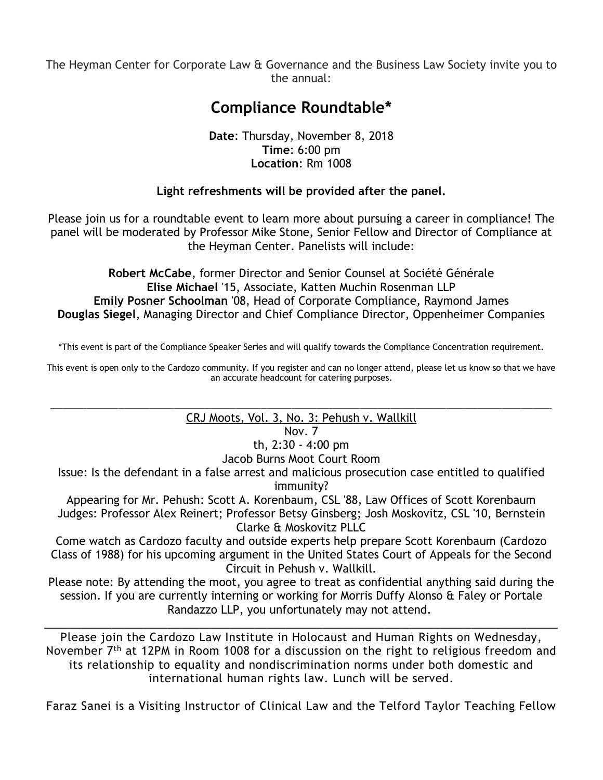The Heyman Center for Corporate Law & Governance and the Business Law Society invite you to the annual:

### **Compliance Roundtable\***

#### **Date**: Thursday, November 8, 2018 **Time**: 6:00 pm **Location**: Rm 1008

### **Light refreshments will be provided after the panel.**

Please join us for a roundtable event to learn more about pursuing a career in compliance! The panel will be moderated by Professor Mike Stone, Senior Fellow and Director of Compliance at the Heyman Center. Panelists will include:

**Robert McCabe**, former Director and Senior Counsel at Société Générale **Elise Michael** '15, Associate, Katten Muchin Rosenman LLP **Emily Posner Schoolman** '08, Head of Corporate Compliance, Raymond James **Douglas Siegel**, Managing Director and Chief Compliance Director, Oppenheimer Companies

\*This event is part of the Compliance Speaker Series and will qualify towards the Compliance Concentration requirement.

This event is open only to the Cardozo community. If you register and can no longer attend, please let us know so that we have an accurate headcount for catering purposes.

#### \_\_\_\_\_\_\_\_\_\_\_\_\_\_\_\_\_\_\_\_\_\_\_\_\_\_\_\_\_\_\_\_\_\_\_\_\_\_\_\_\_\_\_\_\_\_\_\_\_\_\_\_\_\_\_\_\_\_\_\_\_\_\_\_\_\_\_\_\_\_\_\_\_\_\_\_\_\_\_\_\_ CRJ Moots, Vol. 3, No. 3: Pehush v. Wallkill

Nov. 7

th, 2:30 - 4:00 pm

Jacob Burns Moot Court Room

Issue: Is the defendant in a false arrest and malicious prosecution case entitled to qualified immunity?

Appearing for Mr. Pehush: Scott A. Korenbaum, CSL '88, Law Offices of Scott Korenbaum Judges: Professor Alex Reinert; Professor Betsy Ginsberg; Josh Moskovitz, CSL '10, Bernstein Clarke & Moskovitz PLLC

Come watch as Cardozo faculty and outside experts help prepare Scott Korenbaum (Cardozo Class of 1988) for his upcoming argument in the United States Court of Appeals for the Second Circuit in Pehush v. Wallkill.

Please note: By attending the moot, you agree to treat as confidential anything said during the session. If you are currently interning or working for Morris Duffy Alonso & Faley or Portale Randazzo LLP, you unfortunately may not attend.

\_\_\_\_\_\_\_\_\_\_\_\_\_\_\_\_\_\_\_\_\_\_\_\_\_\_\_\_\_\_\_\_\_\_\_\_\_\_\_\_\_\_\_\_\_\_\_\_\_\_\_\_\_\_\_\_\_\_\_\_\_\_\_\_\_\_\_\_\_\_\_\_\_\_\_\_\_\_\_\_\_\_\_

Please join the Cardozo Law Institute in Holocaust and Human Rights on Wednesday, November 7<sup>th</sup> at 12PM in Room 1008 for a discussion on the right to religious freedom and its relationship to equality and nondiscrimination norms under both domestic and international human rights law. Lunch will be served.

Faraz Sanei is a Visiting Instructor of Clinical Law and the Telford Taylor Teaching Fellow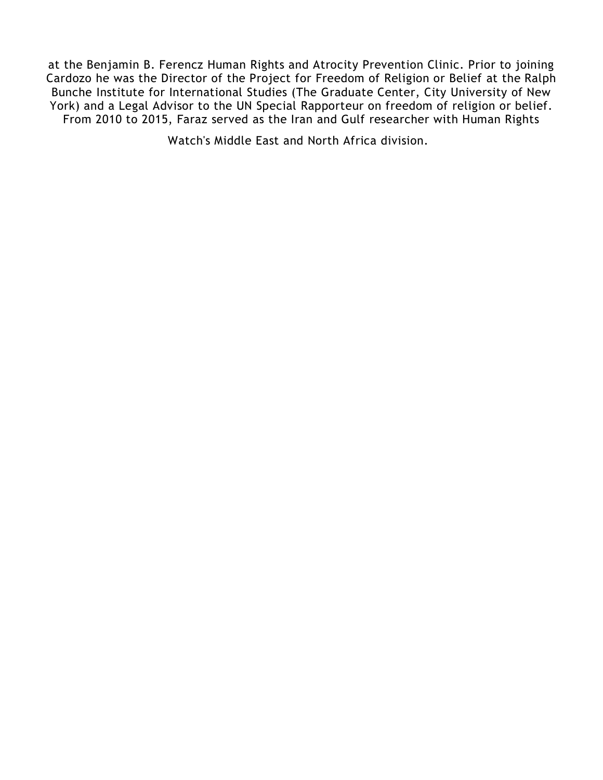at the Benjamin B. Ferencz Human Rights and Atrocity Prevention Clinic. Prior to joining Cardozo he was the Director of the Project for Freedom of Religion or Belief at the Ralph Bunche Institute for International Studies (The Graduate Center, City University of New York) and a Legal Advisor to the UN Special Rapporteur on freedom of religion or belief. From 2010 to 2015, Faraz served as the Iran and Gulf researcher with Human Rights

Watch's Middle East and North Africa division.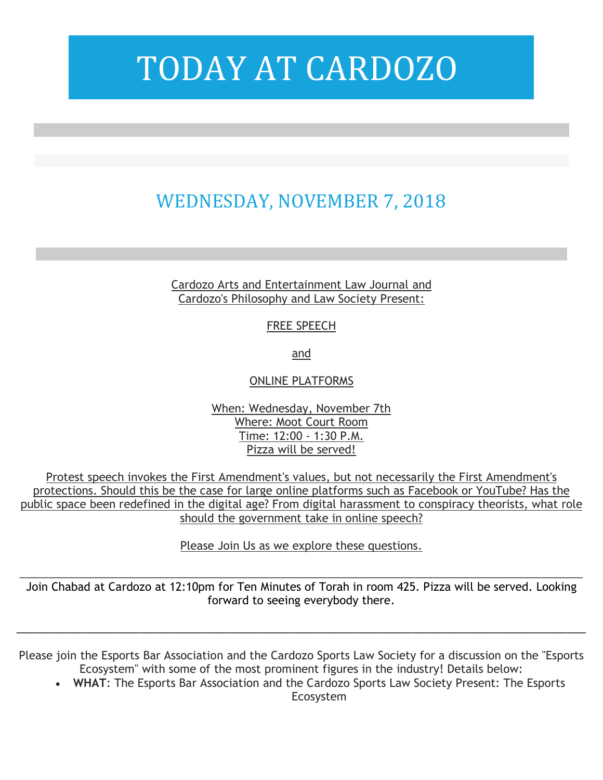## WEDNESDAY, NOVEMBER 7, 2018

Cardozo Arts and Entertainment Law Journal and Cardozo's Philosophy and Law Society Present:

FREE SPEECH

and

ONLINE PLATFORMS

When: Wednesday, November 7th Where: Moot Court Room Time: 12:00 - 1:30 P.M. Pizza will be served!

Protest speech invokes the First Amendment's values, but not necessarily the First Amendment's protections. Should this be the case for large online platforms such as Facebook or YouTube? Has the public space been redefined in the digital age? From digital harassment to conspiracy theorists, what role should the government take in online speech?

Please Join Us as we explore these questions.

Join Chabad at Cardozo at 12:10pm for Ten Minutes of Torah in room 425. Pizza will be served. Looking forward to seeing everybody there.

\_\_\_\_\_\_\_\_\_\_\_\_\_\_\_\_\_\_\_\_\_\_\_\_\_\_\_\_\_\_\_\_\_\_\_\_\_\_\_\_\_\_\_\_\_\_\_\_\_\_\_\_\_\_\_\_\_\_\_\_\_\_\_\_\_\_\_\_\_\_\_\_\_\_\_\_\_\_\_\_\_\_\_\_\_\_\_\_\_\_\_

Please join the Esports Bar Association and the Cardozo Sports Law Society for a discussion on the "Esports Ecosystem" with some of the most prominent figures in the industry! Details below:

\_\_\_\_\_\_\_\_\_\_\_\_\_\_\_\_\_\_\_\_\_\_\_\_\_\_\_\_\_\_\_\_\_\_\_\_\_\_\_\_\_\_\_\_\_\_\_\_\_\_\_\_\_\_\_\_\_\_\_\_\_\_\_\_\_\_\_\_\_\_\_\_\_\_\_\_\_\_\_\_\_\_\_\_\_\_\_\_\_\_\_\_

• **WHAT**: The Esports Bar Association and the Cardozo Sports Law Society Present: The Esports Ecosystem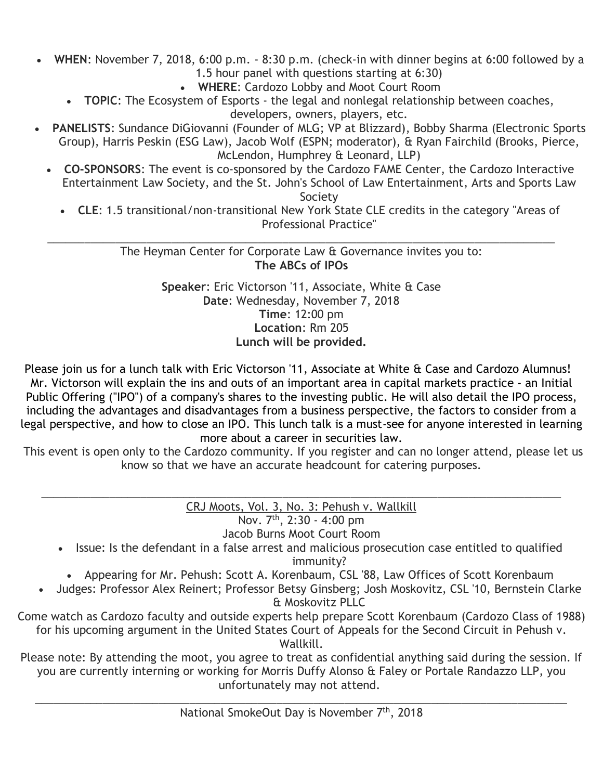- **WHEN**: November 7, 2018, 6:00 p.m. 8:30 p.m. (check-in with dinner begins at 6:00 followed by a 1.5 hour panel with questions starting at 6:30)
	- **WHERE**: Cardozo Lobby and Moot Court Room
	- **TOPIC**: The Ecosystem of Esports the legal and nonlegal relationship between coaches, developers, owners, players, etc.
- **PANELISTS**: Sundance DiGiovanni (Founder of MLG; VP at Blizzard), Bobby Sharma (Electronic Sports Group), Harris Peskin (ESG Law), Jacob Wolf (ESPN; moderator), & Ryan Fairchild (Brooks, Pierce, McLendon, Humphrey & Leonard, LLP)
	- **CO-SPONSORS**: The event is co-sponsored by the Cardozo FAME Center, the Cardozo Interactive Entertainment Law Society, and the St. John's School of Law Entertainment, Arts and Sports Law

Society

• **CLE**: 1.5 transitional/non-transitional New York State CLE credits in the category "Areas of Professional Practice"

\_\_\_\_\_\_\_\_\_\_\_\_\_\_\_\_\_\_\_\_\_\_\_\_\_\_\_\_\_\_\_\_\_\_\_\_\_\_\_\_\_\_\_\_\_\_\_\_\_\_\_\_\_\_\_\_\_\_\_\_\_\_\_\_\_\_\_\_\_\_\_\_\_\_\_\_\_\_\_\_\_\_ The Heyman Center for Corporate Law & Governance invites you to: **The ABCs of IPOs**

> **Speaker**: Eric Victorson '11, Associate, White & Case **Date**: Wednesday, November 7, 2018 **Time**: 12:00 pm **Location**: Rm 205 **Lunch will be provided.**

Please join us for a lunch talk with Eric Victorson '11, Associate at White & Case and Cardozo Alumnus! Mr. Victorson will explain the ins and outs of an important area in capital markets practice - an Initial Public Offering ("IPO") of a company's shares to the investing public. He will also detail the IPO process, including the advantages and disadvantages from a business perspective, the factors to consider from a legal perspective, and how to close an IPO. This lunch talk is a must-see for anyone interested in learning more about a career in securities law.

This event is open only to the Cardozo community. If you register and can no longer attend, please let us know so that we have an accurate headcount for catering purposes.

\_\_\_\_\_\_\_\_\_\_\_\_\_\_\_\_\_\_\_\_\_\_\_\_\_\_\_\_\_\_\_\_\_\_\_\_\_\_\_\_\_\_\_\_\_\_\_\_\_\_\_\_\_\_\_\_\_\_\_\_\_\_\_\_\_\_\_\_\_\_\_\_\_\_\_\_\_\_\_\_\_\_\_\_ CRJ Moots, Vol. 3, No. 3: Pehush v. Wallkill Nov. 7<sup>th</sup>, 2:30 - 4:00 pm

Jacob Burns Moot Court Room

- Issue: Is the defendant in a false arrest and malicious prosecution case entitled to qualified immunity?
- Appearing for Mr. Pehush: Scott A. Korenbaum, CSL '88, Law Offices of Scott Korenbaum
- Judges: Professor Alex Reinert; Professor Betsy Ginsberg; Josh Moskovitz, CSL '10, Bernstein Clarke & Moskovitz PLLC
- Come watch as Cardozo faculty and outside experts help prepare Scott Korenbaum (Cardozo Class of 1988) for his upcoming argument in the United States Court of Appeals for the Second Circuit in Pehush v. Wallkill.

Please note: By attending the moot, you agree to treat as confidential anything said during the session. If you are currently interning or working for Morris Duffy Alonso & Faley or Portale Randazzo LLP, you unfortunately may not attend.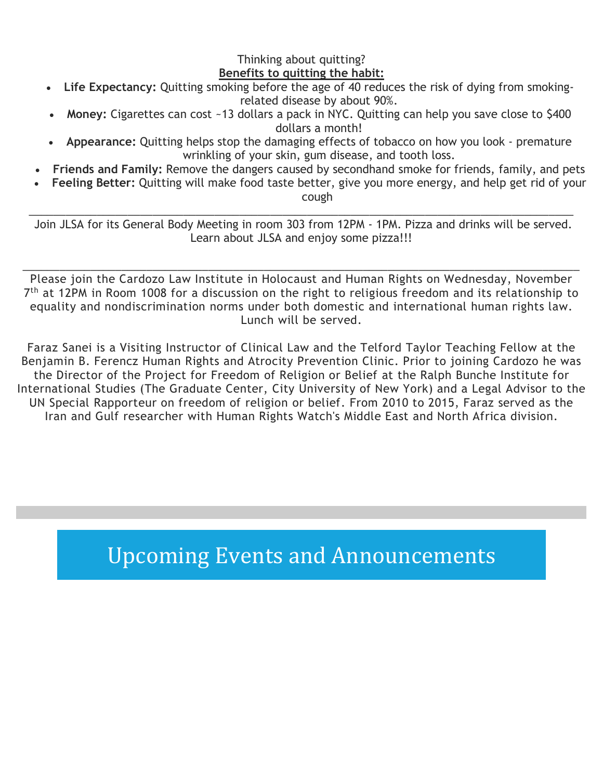#### Thinking about quitting? **Benefits to quitting the habit:**

- **Life Expectancy:** Quitting smoking before the age of 40 reduces the risk of dying from smokingrelated disease by about 90%.
- **Money:** Cigarettes can cost ~13 dollars a pack in NYC. Quitting can help you save close to \$400 dollars a month!
- **Appearance:** Quitting helps stop the damaging effects of tobacco on how you look premature wrinkling of your skin, gum disease, and tooth loss.
- **Friends and Family:** Remove the dangers caused by secondhand smoke for friends, family, and pets
- **Feeling Better:** Quitting will make food taste better, give you more energy, and help get rid of your cough

\_\_\_\_\_\_\_\_\_\_\_\_\_\_\_\_\_\_\_\_\_\_\_\_\_\_\_\_\_\_\_\_\_\_\_\_\_\_\_\_\_\_\_\_\_\_\_\_\_\_\_\_\_\_\_\_\_\_\_\_\_\_\_\_\_\_\_\_\_\_\_\_\_\_\_\_\_\_\_\_\_\_\_\_\_\_\_\_ Join JLSA for its General Body Meeting in room 303 from 12PM - 1PM. Pizza and drinks will be served. Learn about JLSA and enjoy some pizza!!!

\_\_\_\_\_\_\_\_\_\_\_\_\_\_\_\_\_\_\_\_\_\_\_\_\_\_\_\_\_\_\_\_\_\_\_\_\_\_\_\_\_\_\_\_\_\_\_\_\_\_\_\_\_\_\_\_\_\_\_\_\_\_\_\_\_\_\_\_\_\_\_\_\_\_\_\_\_\_\_\_\_\_\_\_\_\_\_\_\_\_ Please join the Cardozo Law Institute in Holocaust and Human Rights on Wednesday, November 7<sup>th</sup> at 12PM in Room 1008 for a discussion on the right to religious freedom and its relationship to equality and nondiscrimination norms under both domestic and international human rights law. Lunch will be served.

Faraz Sanei is a Visiting Instructor of Clinical Law and the Telford Taylor Teaching Fellow at the Benjamin B. Ferencz Human Rights and Atrocity Prevention Clinic. Prior to joining Cardozo he was the Director of the Project for Freedom of Religion or Belief at the Ralph Bunche Institute for International Studies (The Graduate Center, City University of New York) and a Legal Advisor to the UN Special Rapporteur on freedom of religion or belief. From 2010 to 2015, Faraz served as the Iran and Gulf researcher with Human Rights Watch's Middle East and North Africa division.

## Upcoming Events and Announcements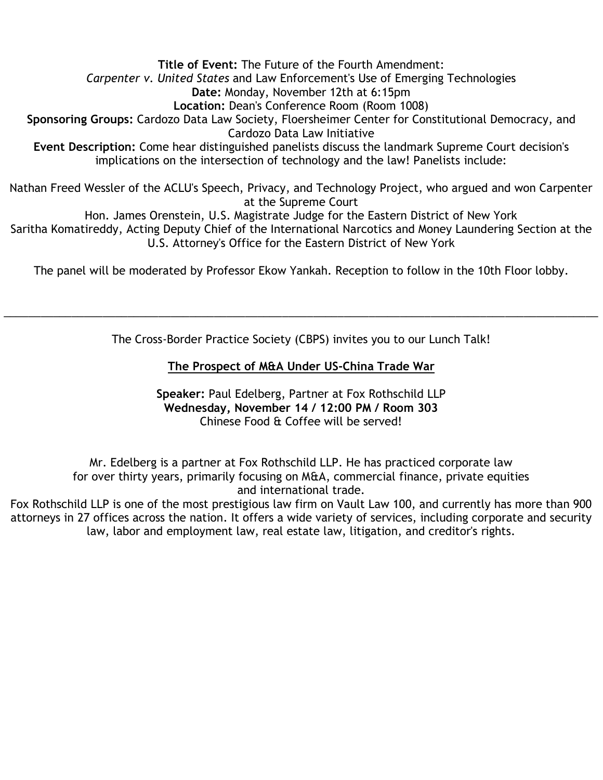**Title of Event:** The Future of the Fourth Amendment: *Carpenter v. United States* and Law Enforcement's Use of Emerging Technologies **Date:** Monday, November 12th at 6:15pm **Location:** Dean's Conference Room (Room 1008) **Sponsoring Groups:** Cardozo Data Law Society, Floersheimer Center for Constitutional Democracy, and Cardozo Data Law Initiative **Event Description:** Come hear distinguished panelists discuss the landmark Supreme Court decision's implications on the intersection of technology and the law! Panelists include: Nathan Freed Wessler of the ACLU's Speech, Privacy, and Technology Project, who argued and won Carpenter at the Supreme Court

Hon. James Orenstein, U.S. Magistrate Judge for the Eastern District of New York Saritha Komatireddy, Acting Deputy Chief of the International Narcotics and Money Laundering Section at the

U.S. Attorney's Office for the Eastern District of New York

The panel will be moderated by Professor Ekow Yankah. Reception to follow in the 10th Floor lobby.

The Cross-Border Practice Society (CBPS) invites you to our Lunch Talk!

\_\_\_\_\_\_\_\_\_\_\_\_\_\_\_\_\_\_\_\_\_\_\_\_\_\_\_\_\_\_\_\_\_\_\_\_\_\_\_\_\_\_\_\_\_\_\_\_\_\_\_\_\_\_\_\_\_\_\_\_\_\_\_\_\_\_\_\_\_\_\_\_\_\_\_\_\_\_\_\_\_\_\_\_\_\_\_\_\_\_\_\_\_\_\_\_

#### **The Prospect of M&A Under US-China Trade War**

**Speaker:** Paul Edelberg, Partner at Fox Rothschild LLP **Wednesday, November 14 / 12:00 PM / Room 303** Chinese Food & Coffee will be served!

Mr. Edelberg is a partner at Fox Rothschild LLP. He has practiced corporate law for over thirty years, primarily focusing on M&A, commercial finance, private equities and international trade.

Fox Rothschild LLP is one of the most prestigious law firm on Vault Law 100, and currently has more than 900 attorneys in 27 offices across the nation. It offers a wide variety of services, including corporate and security law, labor and employment law, real estate law, litigation, and creditor's rights.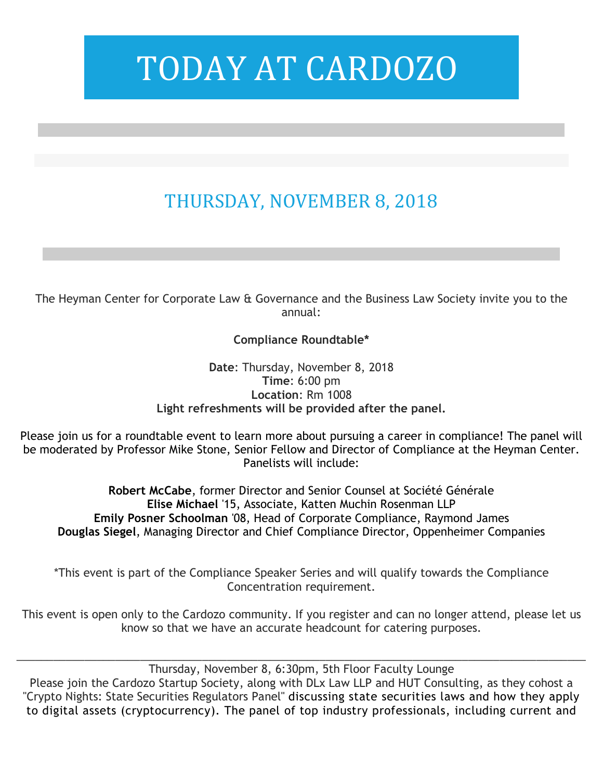## THURSDAY, NOVEMBER 8, 2018

The Heyman Center for Corporate Law & Governance and the Business Law Society invite you to the annual:

### **Compliance Roundtable\***

**Date**: Thursday, November 8, 2018 **Time**: 6:00 pm **Location**: Rm 1008 **Light refreshments will be provided after the panel.**

Please join us for a roundtable event to learn more about pursuing a career in compliance! The panel will be moderated by Professor Mike Stone, Senior Fellow and Director of Compliance at the Heyman Center. Panelists will include:

**Robert McCabe**, former Director and Senior Counsel at Société Générale **Elise Michael** '15, Associate, Katten Muchin Rosenman LLP **Emily Posner Schoolman** '08, Head of Corporate Compliance, Raymond James **Douglas Siegel**, Managing Director and Chief Compliance Director, Oppenheimer Companies

\*This event is part of the Compliance Speaker Series and will qualify towards the Compliance Concentration requirement.

This event is open only to the Cardozo community. If you register and can no longer attend, please let us know so that we have an accurate headcount for catering purposes.

\_\_\_\_\_\_\_\_\_\_\_\_\_\_\_\_\_\_\_\_\_\_\_\_\_\_\_\_\_\_\_\_\_\_\_\_\_\_\_\_\_\_\_\_\_\_\_\_\_\_\_\_\_\_\_\_\_\_\_\_\_\_\_\_\_\_\_\_\_\_\_\_\_\_\_\_\_\_\_\_\_\_\_\_\_\_\_\_\_\_\_\_ Thursday, November 8, 6:30pm, 5th Floor Faculty Lounge Please join the Cardozo Startup Society, along with DLx Law LLP and HUT Consulting, as they cohost a "Crypto Nights: State Securities Regulators Panel" discussing state securities laws and how they apply to digital assets (cryptocurrency). The panel of top industry professionals, including current and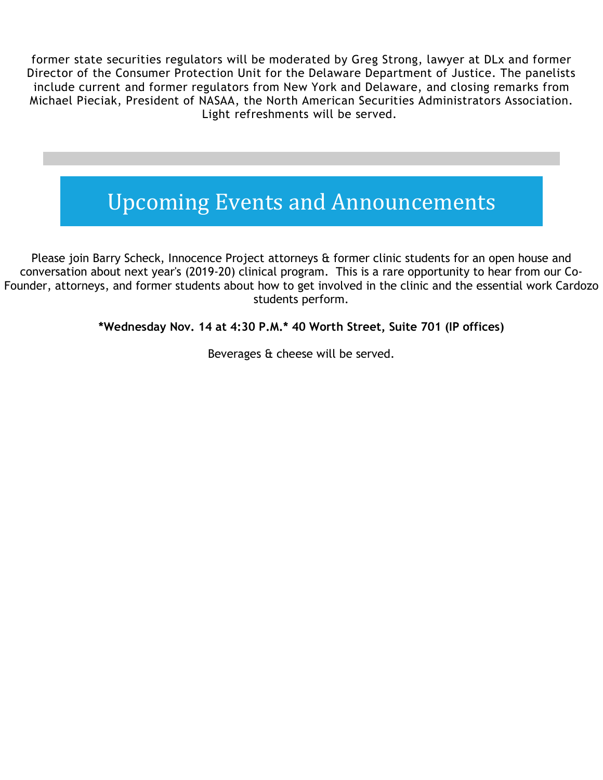former state securities regulators will be moderated by Greg Strong, lawyer at DLx and former Director of the Consumer Protection Unit for the Delaware Department of Justice. The panelists include current and former regulators from New York and Delaware, and closing remarks from Michael Pieciak, President of NASAA, the North American Securities Administrators Association. Light refreshments will be served.

## Upcoming Events and Announcements

Please join Barry Scheck, Innocence Project attorneys & former clinic students for an open house and conversation about next year's (2019-20) clinical program. This is a rare opportunity to hear from our Co-Founder, attorneys, and former students about how to get involved in the clinic and the essential work Cardozo students perform.

**\*Wednesday Nov. 14 at 4:30 P.M.\* 40 Worth Street, Suite 701 (IP offices)**

Beverages & cheese will be served.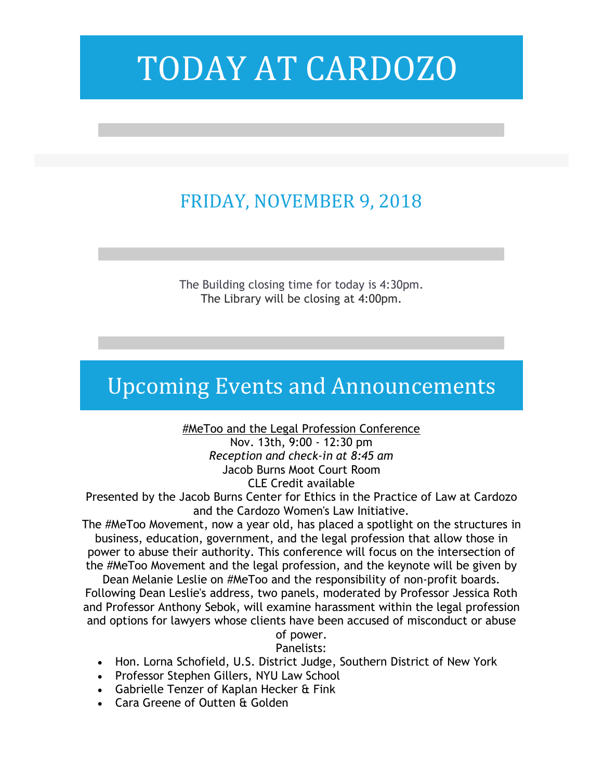## FRIDAY, NOVEMBER 9, 2018

The Building closing time for today is 4:30pm. The Library will be closing at 4:00pm.

### Upcoming Events and Announcements

#MeToo and the Legal Profession Conference Nov. 13th, 9:00 - 12:30 pm

*Reception and check-in at 8:45 am* Jacob Burns Moot Court Room CLE Credit available

Presented by the Jacob Burns Center for Ethics in the Practice of Law at Cardozo and the Cardozo Women's Law Initiative.

The #MeToo Movement, now a year old, has placed a spotlight on the structures in business, education, government, and the legal profession that allow those in power to abuse their authority. This conference will focus on the intersection of the #MeToo Movement and the legal profession, and the keynote will be given by

Dean Melanie Leslie on #MeToo and the responsibility of non-profit boards. Following Dean Leslie's address, two panels, moderated by Professor Jessica Roth and Professor Anthony Sebok, will examine harassment within the legal profession and options for lawyers whose clients have been accused of misconduct or abuse

#### of power. Panelists:

- Hon. Lorna Schofield, U.S. District Judge, Southern District of New York
- Professor Stephen Gillers, NYU Law School
- Gabrielle Tenzer of Kaplan Hecker & Fink
- Cara Greene of Outten & Golden